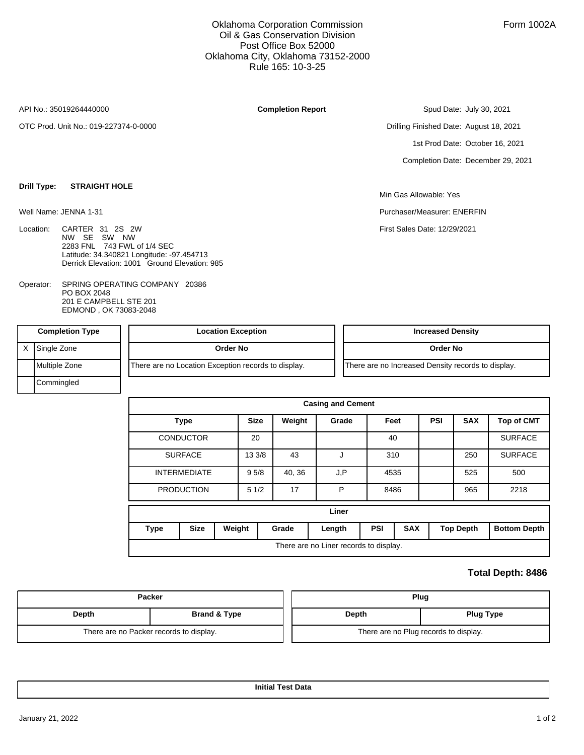## Oklahoma Corporation Commission Oil & Gas Conservation Division Post Office Box 52000 Oklahoma City, Oklahoma 73152-2000 Rule 165: 10-3-25

API No.: 35019264440000

Well Name: JENNA 1-31

**Drill Type: STRAIGHT HOLE**

OTC Prod. Unit No.: 019-227374-0-0000

**Completion Report**

Spud Date: July 30, 2021

Drilling Finished Date: August 18, 2021 1st Prod Date: October 16, 2021 Completion Date: December 29, 2021

Min Gas Allowable: Yes

Purchaser/Measurer: ENERFIN

First Sales Date: 12/29/2021

- Location: CARTER 31 2S 2W NW SE SW NW 2283 FNL 743 FWL of 1/4 SEC Latitude: 34.340821 Longitude: -97.454713 Derrick Elevation: 1001 Ground Elevation: 985
- SPRING OPERATING COMPANY 20386 PO BOX 2048 201 E CAMPBELL STE 201 EDMOND , OK 73083-2048 Operator:

| <b>Completion Type</b> | <b>Location Exception</b>                           | <b>Increased Density</b>                           |
|------------------------|-----------------------------------------------------|----------------------------------------------------|
| Single Zone            | Order No                                            | Order No                                           |
| Multiple Zone          | There are no Location Exception records to display. | There are no Increased Density records to display. |
| Commingled             |                                                     |                                                    |

|             |                     |        |             |        | <b>Casing and Cement</b>               |      |            |            |                  |                     |
|-------------|---------------------|--------|-------------|--------|----------------------------------------|------|------------|------------|------------------|---------------------|
|             | <b>Type</b>         |        | <b>Size</b> | Weight | Grade                                  | Feet |            | <b>PSI</b> | <b>SAX</b>       | <b>Top of CMT</b>   |
|             | <b>CONDUCTOR</b>    |        | 20          |        |                                        | 40   |            |            |                  | <b>SURFACE</b>      |
|             | <b>SURFACE</b>      |        | 13 3/8      | 43     | J                                      | 310  |            |            | 250              | <b>SURFACE</b>      |
|             | <b>INTERMEDIATE</b> |        | 95/8        | 40, 36 | J.P                                    | 4535 |            |            | 525              | 500                 |
|             | <b>PRODUCTION</b>   |        | 51/2        | 17     | P                                      | 8486 |            |            | 965              | 2218                |
|             |                     |        |             |        | Liner                                  |      |            |            |                  |                     |
| <b>Type</b> | <b>Size</b>         | Weight |             | Grade  | Length                                 | PSI  | <b>SAX</b> |            | <b>Top Depth</b> | <b>Bottom Depth</b> |
|             |                     |        |             |        | There are no Liner records to display. |      |            |            |                  |                     |

## **Total Depth: 8486**

| <b>Packer</b>                           |              | Plug                                  |                  |
|-----------------------------------------|--------------|---------------------------------------|------------------|
| Depth                                   | Brand & Type | Depth                                 | <b>Plug Type</b> |
| There are no Packer records to display. |              | There are no Plug records to display. |                  |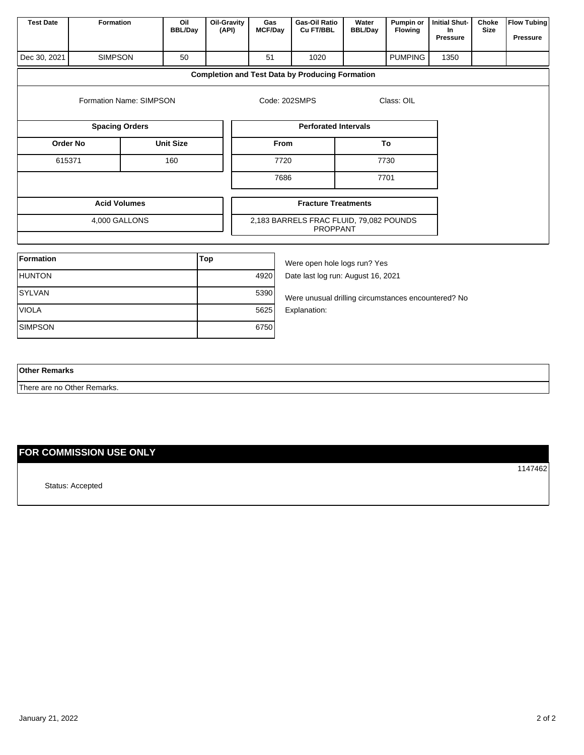| <b>Test Date</b> | Formation               | Oil<br><b>BBL/Day</b> | <b>Oil-Gravity</b><br>(API) | Gas<br><b>MCF/Day</b> | Gas-Oil Ratio<br>Cu FT/BBL                                 | Water<br><b>BBL/Day</b> | Pumpin or<br>Flowing | <b>Initial Shut-</b><br>In<br>Pressure | Choke<br><b>Size</b> | <b>Flow Tubing</b><br>Pressure |  |
|------------------|-------------------------|-----------------------|-----------------------------|-----------------------|------------------------------------------------------------|-------------------------|----------------------|----------------------------------------|----------------------|--------------------------------|--|
| Dec 30, 2021     | <b>SIMPSON</b>          | 50                    |                             | 51                    | 1020                                                       |                         | <b>PUMPING</b>       | 1350                                   |                      |                                |  |
|                  |                         |                       |                             |                       | <b>Completion and Test Data by Producing Formation</b>     |                         |                      |                                        |                      |                                |  |
|                  | Formation Name: SIMPSON |                       |                             |                       | Code: 202SMPS                                              |                         | Class: OIL           |                                        |                      |                                |  |
|                  | <b>Spacing Orders</b>   |                       |                             |                       | <b>Perforated Intervals</b>                                |                         |                      |                                        |                      |                                |  |
| <b>Order No</b>  | <b>Unit Size</b>        |                       |                             | From                  |                                                            | To                      |                      |                                        |                      |                                |  |
| 615371           |                         | 160<br>7720           |                             |                       |                                                            |                         |                      | 7730                                   |                      |                                |  |
|                  |                         |                       |                             | 7686                  |                                                            |                         | 7701                 |                                        |                      |                                |  |
|                  | <b>Acid Volumes</b>     |                       |                             |                       | <b>Fracture Treatments</b>                                 |                         |                      |                                        |                      |                                |  |
|                  | 4,000 GALLONS           |                       |                             |                       | 2,183 BARRELS FRAC FLUID, 79,082 POUNDS<br><b>PROPPANT</b> |                         |                      |                                        |                      |                                |  |
| <b>Formation</b> |                         |                       | <b>Top</b>                  |                       |                                                            |                         |                      |                                        |                      |                                |  |
|                  |                         |                       |                             |                       | Were open hole logs run? Yes                               |                         |                      |                                        |                      |                                |  |
| <b>HUNTON</b>    |                         |                       |                             | 4920                  | Date last log run: August 16, 2021                         |                         |                      |                                        |                      |                                |  |
| <b>SYLVAN</b>    |                         |                       |                             | 5390                  | Were unusual drilling circumstances encountered? No        |                         |                      |                                        |                      |                                |  |
| <b>VIOLA</b>     |                         |                       |                             | 5625                  | Explanation:                                               |                         |                      |                                        |                      |                                |  |
| <b>SIMPSON</b>   |                         |                       |                             | 6750                  |                                                            |                         |                      |                                        |                      |                                |  |
|                  |                         |                       |                             |                       |                                                            |                         |                      |                                        |                      |                                |  |

| <b>Other Remarks</b>        |  |
|-----------------------------|--|
| There are no Other Remarks. |  |

## **FOR COMMISSION USE ONLY**

Status: Accepted

1147462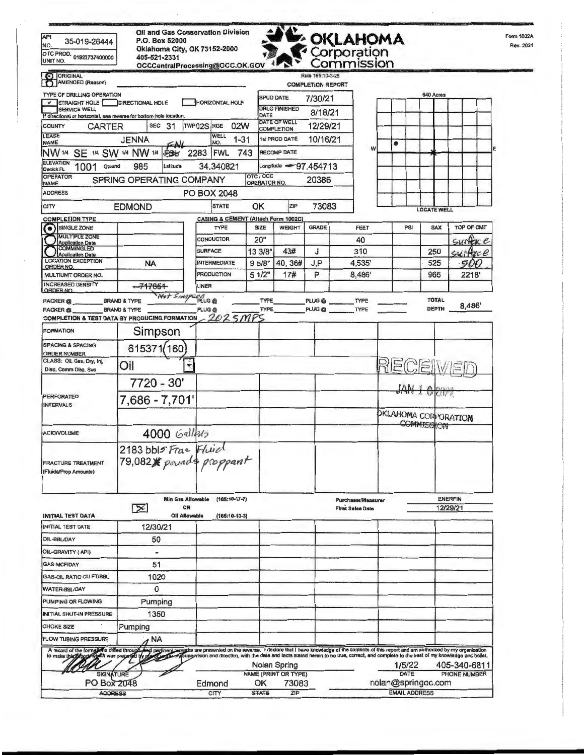| <b>API</b><br>35-019-26444<br>NO.<br>OTC PROD. 01922737400000                                                                                                                                                                                                      | P.O. Box 52000<br>Oklahoma City, OK 73152-2000<br>405-521-2331 |           | <b>Oil and Gas Conservation Division</b> |     |                            |                                                      |                          | <b>E</b> OKLAHOMA<br>Corporation              |   |   |                      |                              |                |                              |            | Form 1002A<br>Rev. 2021 |
|--------------------------------------------------------------------------------------------------------------------------------------------------------------------------------------------------------------------------------------------------------------------|----------------------------------------------------------------|-----------|------------------------------------------|-----|----------------------------|------------------------------------------------------|--------------------------|-----------------------------------------------|---|---|----------------------|------------------------------|----------------|------------------------------|------------|-------------------------|
| UNIT NO.                                                                                                                                                                                                                                                           |                                                                |           | OCCCentralProcessing@OCC.OK.GOV          |     |                            |                                                      | Rule 165:10-3-25         | ommission:                                    |   |   |                      |                              |                |                              |            |                         |
| O ORIGINAL<br>AMENDED (Reason)                                                                                                                                                                                                                                     |                                                                |           |                                          |     |                            |                                                      | <b>COMPLETION REPORT</b> |                                               |   |   |                      |                              |                |                              |            |                         |
| <b>TYPE OF DRILLING OPERATION</b>                                                                                                                                                                                                                                  |                                                                |           |                                          |     |                            | <b>SPUD DATE</b>                                     | 7/30/21                  |                                               |   |   |                      | 640 Acres                    |                |                              |            |                         |
| STRAIGHT HOLE<br><b>SERVICE WELL</b>                                                                                                                                                                                                                               | <b>DIRECTIONAL HOLE</b>                                        |           | <b>HORIZONTAL HOLE</b>                   |     |                            | <b>DRLG FINISHED</b>                                 | 8/18/21                  |                                               |   |   |                      |                              |                |                              |            |                         |
| If directional or horizontal, see reverse for bottom hole location<br><b>COUNTY</b><br><b>CARTER</b>                                                                                                                                                               | SEC <sub>31</sub>                                              |           | TWP <sub>02S</sub><br>RGE<br>02W         |     | DATE                       | DATE OF WELL                                         | 12/29/21                 |                                               |   |   |                      |                              |                |                              |            |                         |
| LEASE                                                                                                                                                                                                                                                              | JENNA                                                          |           | WELL<br>$1 - 31$                         |     |                            | <b>COMPLETION</b><br><b>1st PROD DATE</b>            | 10/16/21                 |                                               |   |   |                      |                              |                |                              |            |                         |
| <b>NAME</b><br>NW <sub>1/4</sub><br>SE 1/4 SW 1/4 NW 1/4                                                                                                                                                                                                           | cц<br>FSK                                                      |           | NO.<br>2283<br><b>FWL</b>                | 743 |                            | <b>RECOMP DATE</b>                                   |                          |                                               | W | ٠ |                      |                              |                |                              |            |                         |
| ELEVATION<br>1001 Ground                                                                                                                                                                                                                                           | 985<br>Latitude                                                |           | 34.340821                                |     |                            | Longitude $-97.454713$                               |                          |                                               |   |   |                      |                              |                |                              |            |                         |
| Derrick FL<br><b>OPERATOR</b>                                                                                                                                                                                                                                      | SPRING OPERATING COMPANY                                       |           |                                          |     | OTC / OCC                  |                                                      | 20386                    |                                               |   |   |                      |                              |                |                              |            |                         |
| <b>NAME</b><br><b>ADDRESS</b>                                                                                                                                                                                                                                      |                                                                |           | PO BOX 2048                              |     | OPERATOR NO.               |                                                      |                          |                                               |   |   |                      |                              |                |                              |            |                         |
| <b>CITY</b>                                                                                                                                                                                                                                                        | <b>EDMOND</b>                                                  |           | <b>STATE</b>                             | ОK  |                            | ZIP                                                  | 73083                    |                                               |   |   |                      |                              |                |                              |            |                         |
| <b>COMPLETION TYPE</b>                                                                                                                                                                                                                                             |                                                                |           | CASING & CEMENT (Attach Form 1002C)      |     |                            |                                                      |                          |                                               |   |   |                      | <b>LOCATE WELL</b>           |                |                              |            |                         |
| <b>SINGLE ZONE</b><br>$\bullet$                                                                                                                                                                                                                                    |                                                                |           | TYPE                                     |     | SIZE                       | <b>WEIGHT</b>                                        | <b>GRADE</b>             | FEET                                          |   |   | PSI                  | SAX                          |                |                              | TOP OF CMT |                         |
| <b>MULTIPLE ZONE</b><br><b>Application Date</b>                                                                                                                                                                                                                    |                                                                |           | CONDUCTOR                                |     | 20"                        |                                                      |                          | 40                                            |   |   |                      |                              |                |                              | Surface    |                         |
| <b>COMMINGLED</b><br><b>Application Date</b>                                                                                                                                                                                                                       |                                                                |           | <b>SURFACE</b>                           |     | 13 3/8"                    | 43#                                                  | J                        | 310                                           |   |   |                      | 250                          |                | $su$ Agc $e$                 |            |                         |
| <b>LOCATION EXCEPTION</b><br>ORDER NO.                                                                                                                                                                                                                             | <b>NA</b>                                                      |           | <b>INTERMEDIATE</b>                      |     | 95/8"                      | 40,36#                                               | J,P                      | 4,535'                                        |   |   |                      | 525                          |                |                              | 500        |                         |
| MULTIUNIT ORDER NO.<br><b>INCREASED DENSITY</b>                                                                                                                                                                                                                    |                                                                |           | <b>PRODUCTION</b>                        |     | 51/2"                      | 17#                                                  | P                        | 8,486'                                        |   |   |                      | 965                          |                |                              | 2218       |                         |
| <b>ORDER NO</b>                                                                                                                                                                                                                                                    | $-717851$<br>Wat SIMP                                          |           | LINER                                    |     |                            |                                                      |                          |                                               |   |   |                      |                              |                |                              |            |                         |
| <b>PACKER</b> <sup>®</sup><br>PACKER <sub>®</sub>                                                                                                                                                                                                                  | <b>BRAND &amp; TYPE</b><br><b>BRAND &amp; TYPE</b>             |           | <b>PLUG®</b><br>PLUG <sup>®</sup>        |     | <b>TYPE</b><br><b>TYPE</b> |                                                      | PLUG @                   | PLUG @ TYPE<br>TYPE                           |   |   |                      | <b>TOTAL</b><br><b>DEPTH</b> |                |                              | 8,486      |                         |
| COMPLETION & TEST DATA BY PRODUCING FORMATION                                                                                                                                                                                                                      |                                                                |           | 2025MPS                                  |     |                            |                                                      |                          |                                               |   |   |                      |                              |                |                              |            |                         |
| <b>FORMATION</b>                                                                                                                                                                                                                                                   | Simpson                                                        |           |                                          |     |                            |                                                      |                          |                                               |   |   |                      |                              |                |                              |            |                         |
| <b>SPACING &amp; SPACING</b>                                                                                                                                                                                                                                       | 615371/160                                                     |           |                                          |     |                            |                                                      |                          |                                               |   |   |                      |                              |                |                              |            |                         |
| <b>ORDER NUMBER</b><br>CLASS: Oil, Gas, Dry, Inj,                                                                                                                                                                                                                  |                                                                |           |                                          |     |                            |                                                      |                          |                                               |   |   |                      |                              |                |                              |            |                         |
| Disp, Comm Disp, Svc                                                                                                                                                                                                                                               | Oil                                                            | Ÿ         |                                          |     |                            |                                                      |                          |                                               |   |   |                      | RECEIW                       |                |                              |            |                         |
|                                                                                                                                                                                                                                                                    | 7720 - 30'                                                     |           |                                          |     |                            |                                                      |                          |                                               |   |   | <b>JAN</b>           |                              |                |                              |            |                         |
| <b>PERFORATED</b>                                                                                                                                                                                                                                                  | 7,686 - 7,701'                                                 |           |                                          |     |                            |                                                      |                          |                                               |   |   |                      | <b>ACBES</b>                 |                |                              |            |                         |
| <b>INTERVALS</b>                                                                                                                                                                                                                                                   |                                                                |           |                                          |     |                            |                                                      |                          |                                               |   |   |                      | <b>DKLAHOMA CORPORATION</b>  |                |                              |            |                         |
|                                                                                                                                                                                                                                                                    |                                                                |           |                                          |     |                            |                                                      |                          |                                               |   |   |                      | COMMISSION                   |                |                              |            |                         |
| <b>ACID/VOLUME</b>                                                                                                                                                                                                                                                 | 4000 Gallads                                                   |           |                                          |     |                            |                                                      |                          |                                               |   |   |                      |                              |                |                              |            |                         |
| <b>FRACTURE TREATMENT</b><br>(Fluids/Prop Amounts)                                                                                                                                                                                                                 | 2183 bbls Frace Fluid<br>79,082 / pounds proppant              |           |                                          |     |                            |                                                      |                          |                                               |   |   |                      |                              |                |                              |            |                         |
| <b>INITIAL TEST DATA</b>                                                                                                                                                                                                                                           | Min Gas Allowable<br>$\propto$<br>Oil Allowable                | <b>OR</b> | $(165:10-17-7)$<br>$(166:10-13-3)$       |     |                            |                                                      |                          | Purchaser/Measurer<br><b>First Salas Date</b> |   |   |                      |                              | <b>ENERFIN</b> | 12/29/21                     |            |                         |
| INITIAL TEST DATE                                                                                                                                                                                                                                                  | 12/30/21                                                       |           |                                          |     |                            |                                                      |                          |                                               |   |   |                      |                              |                |                              |            |                         |
| OIL-BBL/DAY                                                                                                                                                                                                                                                        | 50                                                             |           |                                          |     |                            |                                                      |                          |                                               |   |   |                      |                              |                |                              |            |                         |
| OIL-GRAVITY (API)                                                                                                                                                                                                                                                  | -                                                              |           |                                          |     |                            |                                                      |                          |                                               |   |   |                      |                              |                |                              |            |                         |
| GAS-MCF/DAY                                                                                                                                                                                                                                                        | 51                                                             |           |                                          |     |                            |                                                      |                          |                                               |   |   |                      |                              |                |                              |            |                         |
| <b>GAS-OIL RATIO CU FT/BBL</b>                                                                                                                                                                                                                                     | 1020                                                           |           |                                          |     |                            |                                                      |                          |                                               |   |   |                      |                              |                |                              |            |                         |
| <b>WATER-BBL/DAY</b>                                                                                                                                                                                                                                               | 0                                                              |           |                                          |     |                            |                                                      |                          |                                               |   |   |                      |                              |                |                              |            |                         |
| PUMPING OR FLOWING                                                                                                                                                                                                                                                 | Pumping                                                        |           |                                          |     |                            |                                                      |                          |                                               |   |   |                      |                              |                |                              |            |                         |
| <b>INITIAL SHUT-IN PRESSURE</b>                                                                                                                                                                                                                                    | 1350                                                           |           |                                          |     |                            |                                                      |                          |                                               |   |   |                      |                              |                |                              |            |                         |
| <b>CHOKE SIZE</b>                                                                                                                                                                                                                                                  | Pumping                                                        |           |                                          |     |                            |                                                      |                          |                                               |   |   |                      |                              |                |                              |            |                         |
| FLOW TUBING PRESSURE                                                                                                                                                                                                                                               | <b>NA</b>                                                      |           |                                          |     |                            |                                                      |                          |                                               |   |   |                      |                              |                |                              |            |                         |
| A record of the formations drilled through end pedinent remarks are presented on the reverse. I declare that I have knowledge of the contents of this report and am authorized by my organization<br>to make this topode<br><b>SIGNATURE</b><br><b>PO Box 2048</b> |                                                                |           | Edmond                                   |     | OK                         | Nolan Spring<br><b>NAME (PRINT OR TYPE)</b><br>73083 |                          |                                               |   |   | 1/5/22<br>DATE       | nolan@springoc.com           |                | 405-340-6811<br>PHONE NUMBER |            |                         |
| <b>ADDRESS</b>                                                                                                                                                                                                                                                     |                                                                |           | <b>CITY</b>                              |     | <b>STATE</b>               | ZIP                                                  |                          |                                               |   |   | <b>EMAIL ADDRESS</b> |                              |                |                              |            |                         |